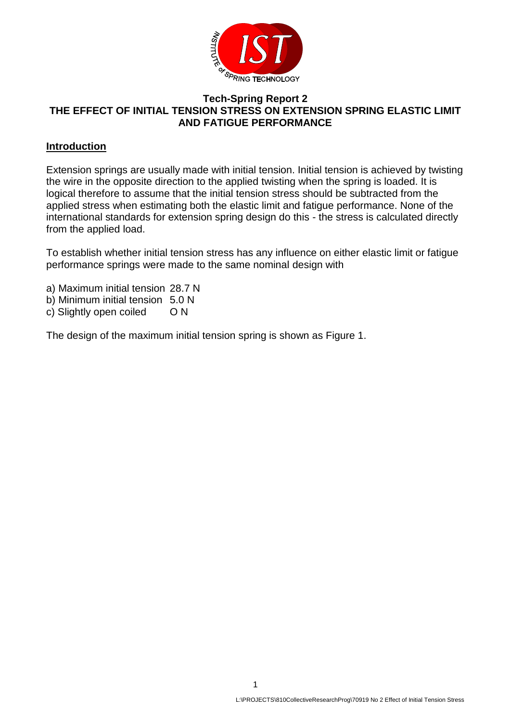

### **Tech-Spring Report 2 THE EFFECT OF INITIAL TENSION STRESS ON EXTENSION SPRING ELASTIC LIMIT AND FATIGUE PERFORMANCE**

### **Introduction**

Extension springs are usually made with initial tension. Initial tension is achieved by twisting the wire in the opposite direction to the applied twisting when the spring is loaded. It is logical therefore to assume that the initial tension stress should be subtracted from the applied stress when estimating both the elastic limit and fatigue performance. None of the international standards for extension spring design do this - the stress is calculated directly from the applied load.

To establish whether initial tension stress has any influence on either elastic limit or fatigue performance springs were made to the same nominal design with

- a) Maximum initial tension 28.7 N
- b) Minimum initial tension 5.0 N
- c) Slightly open coiled O N

The design of the maximum initial tension spring is shown as Figure 1.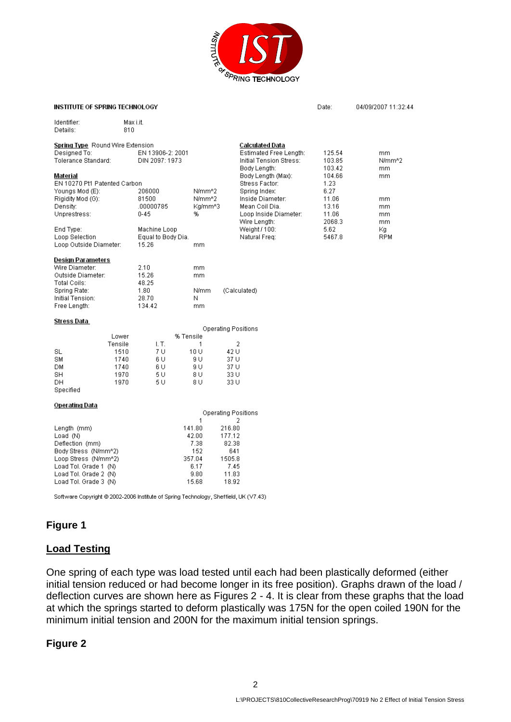

| INSTITUTE OF SPRING TECHNOLOGY                                                                                                                                          |                                                   |                                                                   |                                                                      |                                                                                                                      | Date:                                             | 04/09/2007 11:32:44             |
|-------------------------------------------------------------------------------------------------------------------------------------------------------------------------|---------------------------------------------------|-------------------------------------------------------------------|----------------------------------------------------------------------|----------------------------------------------------------------------------------------------------------------------|---------------------------------------------------|---------------------------------|
| Identifier:<br>Details:                                                                                                                                                 | Max i.it.<br>810                                  |                                                                   |                                                                      |                                                                                                                      |                                                   |                                 |
| <b>Spring Type</b> Round Wire Extension<br>Designed To:<br>Tolerance Standard:                                                                                          | EN 13906-2: 2001<br>DIN 2097: 1973                |                                                                   |                                                                      | Calculated Data<br>Estimated Free Length:<br>Initial Tension Stress:<br>Body Length:                                 | 125.54<br>103.85<br>103.42                        | mm<br>N/mm <sup>n2</sup><br>mm. |
| Material<br>EN 10270 Pt1 Patented Carbon<br>Youngs Mod (E):<br>Rigidity Mod (G):<br>Density:<br>Unprestress:                                                            | 206000<br>81500<br>.00000785<br>$0 - 45$          | N/mm <sup>n2</sup><br>N/mm^2<br>Kg/mm^3<br>%                      |                                                                      | Body Length (Max):<br>Stress Factor:<br>Spring Index:<br>Inside Diameter:<br>Mean Coil Dia.<br>Loop Inside Diameter: | 104.66<br>1.23<br>6.27<br>11.06<br>13.16<br>11.06 | mm.<br>mm<br>mm.<br>mm.         |
| End Type:<br>Loop Selection<br>Loop Outside Diameter:                                                                                                                   | Machine Loop<br>Equal to Body Dia.<br>15.26       | mm.                                                               |                                                                      | Wire Length:<br>Weight / 100:<br>Natural Freq:                                                                       | 2068.3<br>5.62<br>5467.8                          | mm<br>Κg<br><b>RPM</b>          |
| Design Parameters<br>Wire Diameter:<br>Outside Diameter:<br>Total Coils:<br>Spring Rate:<br>Initial Tension:<br>Free Length:                                            | 2.10<br>15.26<br>48.25<br>1.80<br>28.70<br>134.42 | mm.<br>mm.<br>N/mm<br>Ν<br>mm.                                    |                                                                      | (Calculated)                                                                                                         |                                                   |                                 |
| <u>Stress Data_</u>                                                                                                                                                     |                                                   |                                                                   |                                                                      |                                                                                                                      |                                                   |                                 |
| Lower                                                                                                                                                                   |                                                   | % Tensile                                                         | Operating Positions                                                  |                                                                                                                      |                                                   |                                 |
| Tensile<br>1510<br>SL<br>1740<br>SM<br>1740<br>DM.<br>SH.<br>1970<br>1970<br>DН<br>Specified                                                                            | I.T.<br>7 U<br>6 U<br>6 U<br>5 U<br>5 U           | 1<br>10 U<br>9 U<br>9 U<br>8 U<br>8 U                             | 2<br>42 U<br>37 U<br>37 U<br>33 U<br>33 U                            |                                                                                                                      |                                                   |                                 |
| Operating Data                                                                                                                                                          |                                                   |                                                                   |                                                                      |                                                                                                                      |                                                   |                                 |
|                                                                                                                                                                         |                                                   | 1                                                                 | 2                                                                    | Operating Positions                                                                                                  |                                                   |                                 |
| Length (mm)<br>Load $(N)$<br>Deflection (mm)<br>Body Stress (N/mm^2)<br>Loop Stress (N/mm^2)<br>Load Tol. Grade 1 (N)<br>Load Tol. Grade 2 (N)<br>Load Tol. Grade 3 (N) |                                                   | 141.80<br>42.00<br>7.38<br>152<br>357.04<br>6.17<br>9.80<br>15.68 | 216.80<br>177.12<br>82.38<br>641<br>1505.8<br>7.45<br>11.83<br>18.92 |                                                                                                                      |                                                   |                                 |
| Software Copyright @ 2002-2006 Institute of Spring Technology, Sheffield, UK (V7.43)                                                                                    |                                                   |                                                                   |                                                                      |                                                                                                                      |                                                   |                                 |

# **Figure 1**

# **Load Testing**

One spring of each type was load tested until each had been plastically deformed (either initial tension reduced or had become longer in its free position). Graphs drawn of the load / deflection curves are shown here as Figures 2 - 4. It is clear from these graphs that the load at which the springs started to deform plastically was 175N for the open coiled 190N for the minimum initial tension and 200N for the maximum initial tension springs.

### **Figure 2**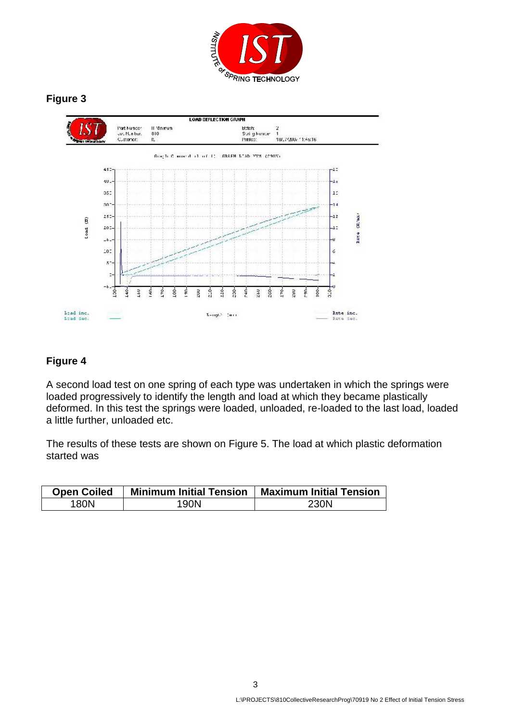

# **Figure 3**



# **Figure 4**

A second load test on one spring of each type was undertaken in which the springs were loaded progressively to identify the length and load at which they became plastically deformed. In this test the springs were loaded, unloaded, re-loaded to the last load, loaded a little further, unloaded etc.

The results of these tests are shown on Figure 5. The load at which plastic deformation started was

| <b>Open Coiled</b> | <b>Minimum Initial Tension</b> | <b>Maximum Initial Tension</b> |
|--------------------|--------------------------------|--------------------------------|
| 180N               | 190N                           | 230N                           |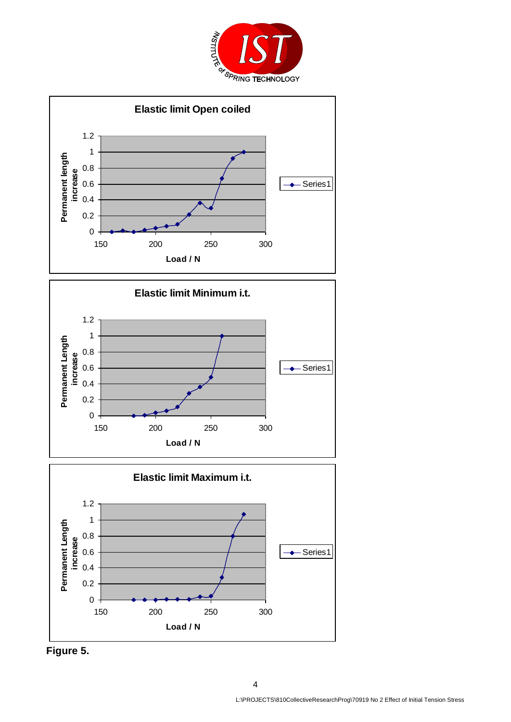







**Figure 5.**